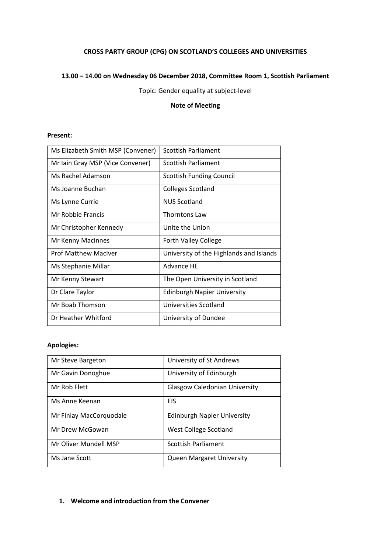# **CROSS PARTY GROUP (CPG) ON SCOTLAND'S COLLEGES AND UNIVERSITIES**

### **13.00 – 14.00 on Wednesday 06 December 2018, Committee Room 1, Scottish Parliament**

Topic: Gender equality at subject-level

### **Note of Meeting**

### **Present:**

| Ms Elizabeth Smith MSP (Convener) | <b>Scottish Parliament</b>              |
|-----------------------------------|-----------------------------------------|
| Mr Iain Gray MSP (Vice Convener)  | Scottish Parliament                     |
| Ms Rachel Adamson                 | <b>Scottish Funding Council</b>         |
| Ms Joanne Buchan                  | <b>Colleges Scotland</b>                |
| Ms Lynne Currie                   | <b>NUS Scotland</b>                     |
| Mr Robbie Francis                 | <b>Thorntons Law</b>                    |
| Mr Christopher Kennedy            | Unite the Union                         |
| Mr Kenny MacInnes                 | <b>Forth Valley College</b>             |
| <b>Prof Matthew MacIver</b>       | University of the Highlands and Islands |
| Ms Stephanie Millar               | <b>Advance HE</b>                       |
| Mr Kenny Stewart                  | The Open University in Scotland         |
| Dr Clare Taylor                   | <b>Edinburgh Napier University</b>      |
| Mr Boab Thomson                   | Universities Scotland                   |
| Dr Heather Whitford               | University of Dundee                    |

#### **Apologies:**

| Mr Steve Bargeton       | University of St Andrews             |
|-------------------------|--------------------------------------|
| Mr Gavin Donoghue       | University of Edinburgh              |
| Mr Rob Flett            | <b>Glasgow Caledonian University</b> |
| Ms Anne Keenan          | EIS                                  |
| Mr Finlay MacCorquodale | <b>Edinburgh Napier University</b>   |
| Mr Drew McGowan         | West College Scotland                |
| Mr Oliver Mundell MSP   | Scottish Parliament                  |
| Ms Jane Scott           | <b>Queen Margaret University</b>     |

### **1. Welcome and introduction from the Convener**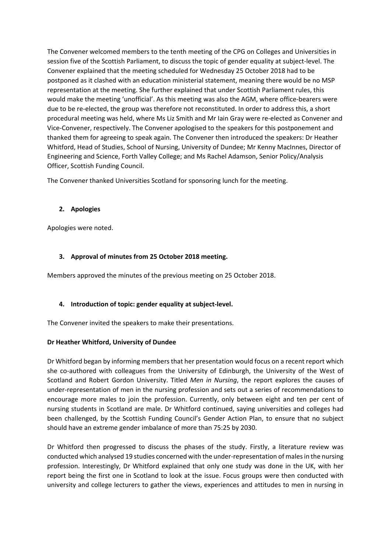The Convener welcomed members to the tenth meeting of the CPG on Colleges and Universities in session five of the Scottish Parliament, to discuss the topic of gender equality at subject-level. The Convener explained that the meeting scheduled for Wednesday 25 October 2018 had to be postponed as it clashed with an education ministerial statement, meaning there would be no MSP representation at the meeting. She further explained that under Scottish Parliament rules, this would make the meeting 'unofficial'. As this meeting was also the AGM, where office-bearers were due to be re-elected, the group was therefore not reconstituted. In order to address this, a short procedural meeting was held, where Ms Liz Smith and Mr Iain Gray were re-elected as Convener and Vice-Convener, respectively. The Convener apologised to the speakers for this postponement and thanked them for agreeing to speak again. The Convener then introduced the speakers: Dr Heather Whitford, Head of Studies, School of Nursing, University of Dundee; Mr Kenny MacInnes, Director of Engineering and Science, Forth Valley College; and Ms Rachel Adamson, Senior Policy/Analysis Officer, Scottish Funding Council.

The Convener thanked Universities Scotland for sponsoring lunch for the meeting.

### **2. Apologies**

Apologies were noted.

### **3. Approval of minutes from 25 October 2018 meeting.**

Members approved the minutes of the previous meeting on 25 October 2018.

# **4. Introduction of topic: gender equality at subject-level.**

The Convener invited the speakers to make their presentations.

#### **Dr Heather Whitford, University of Dundee**

Dr Whitford began by informing members that her presentation would focus on a recent report which she co-authored with colleagues from the University of Edinburgh, the University of the West of Scotland and Robert Gordon University. Titled *Men in Nursing*, the report explores the causes of under-representation of men in the nursing profession and sets out a series of recommendations to encourage more males to join the profession. Currently, only between eight and ten per cent of nursing students in Scotland are male. Dr Whitford continued, saying universities and colleges had been challenged, by the Scottish Funding Council's Gender Action Plan, to ensure that no subject should have an extreme gender imbalance of more than 75:25 by 2030.

Dr Whitford then progressed to discuss the phases of the study. Firstly, a literature review was conducted which analysed 19 studies concerned with the under-representation of males in the nursing profession. Interestingly, Dr Whitford explained that only one study was done in the UK, with her report being the first one in Scotland to look at the issue. Focus groups were then conducted with university and college lecturers to gather the views, experiences and attitudes to men in nursing in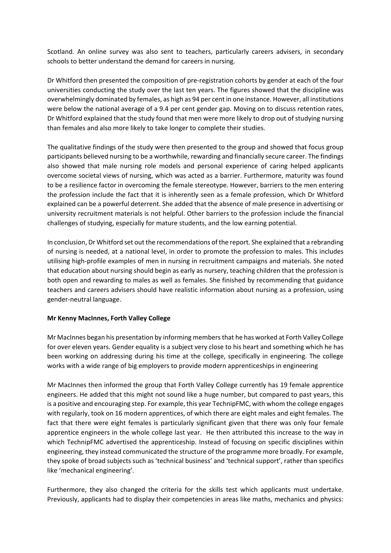Scotland. An online survey was also sent to teachers, particularly careers advisers, in secondary schools to better understand the demand for careers in nursing.

Dr Whitford then presented the composition of pre-registration cohorts by gender at each of the four universities conducting the study over the last ten years. The figures showed that the discipline was overwhelmingly dominated by females, as high as 94 per cent in one instance. However, all institutions were below the national average of a 9.4 per cent gender gap. Moving on to discuss retention rates, Dr Whitford explained that the study found that men were more likely to drop out of studying nursing than females and also more likely to take longer to complete their studies.

The qualitative findings of the study were then presented to the group and showed that focus group participants believed nursing to be a worthwhile, rewarding and financially secure career. The findings also showed that male nursing role models and personal experience of caring helped applicants overcome societal views of nursing, which was acted as a barrier. Furthermore, maturity was found to be a resilience factor in overcoming the female stereotype. However, barriers to the men entering the profession include the fact that it is inherently seen as a female profession, which Dr Whitford explained can be a powerful deterrent. She added that the absence of male presence in advertising or university recruitment materials is not helpful. Other barriers to the profession include the financial challenges of studying, especially for mature students, and the low earning potential.

In conclusion, Dr Whitford set out the recommendations of the report. She explained that a rebranding of nursing is needed, at a national level, in order to promote the profession to males. This includes utilising high-profile examples of men in nursing in recruitment campaigns and materials. She noted that education about nursing should begin as early as nursery, teaching children that the profession is both open and rewarding to males as well as females. She finished by recommending that guidance teachers and careers advisers should have realistic information about nursing as a profession, using gender-neutral language.

#### **Mr Kenny MacInnes, Forth Valley College**

Mr MacInnes began his presentation by informing members that he has worked at Forth Valley College for over eleven years. Gender equality is a subject very close to his heart and something which he has been working on addressing during his time at the college, specifically in engineering. The college works with a wide range of big employers to provide modern apprenticeships in engineering

Mr MacInnes then informed the group that Forth Valley College currently has 19 female apprentice engineers. He added that this might not sound like a huge number, but compared to past years, this is a positive and encouraging step. For example, this year TechnipFMC, with whom the college engages with regularly, took on 16 modern apprentices, of which there are eight males and eight females. The fact that there were eight females is particularly significant given that there was only four female apprentice engineers in the whole college last year. He then attributed this increase to the way in which TechnipFMC advertised the apprenticeship. Instead of focusing on specific disciplines within engineering, they instead communicated the structure of the programme more broadly. For example, they spoke of broad subjects such as 'technical business' and 'technical support', rather than specifics like 'mechanical engineering'.

Furthermore, they also changed the criteria for the skills test which applicants must undertake. Previously, applicants had to display their competencies in areas like maths, mechanics and physics: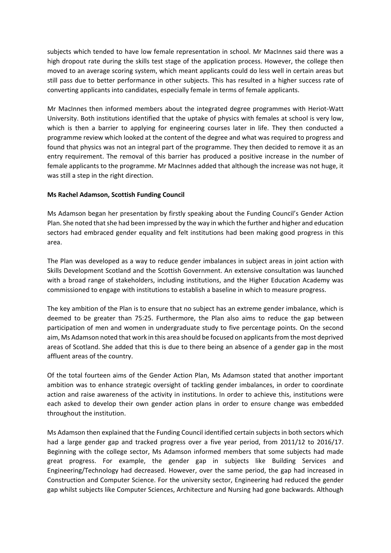subjects which tended to have low female representation in school. Mr MacInnes said there was a high dropout rate during the skills test stage of the application process. However, the college then moved to an average scoring system, which meant applicants could do less well in certain areas but still pass due to better performance in other subjects. This has resulted in a higher success rate of converting applicants into candidates, especially female in terms of female applicants.

Mr MacInnes then informed members about the integrated degree programmes with Heriot-Watt University. Both institutions identified that the uptake of physics with females at school is very low, which is then a barrier to applying for engineering courses later in life. They then conducted a programme review which looked at the content of the degree and what was required to progress and found that physics was not an integral part of the programme. They then decided to remove it as an entry requirement. The removal of this barrier has produced a positive increase in the number of female applicants to the programme. Mr MacInnes added that although the increase was not huge, it was still a step in the right direction.

#### **Ms Rachel Adamson, Scottish Funding Council**

Ms Adamson began her presentation by firstly speaking about the Funding Council's Gender Action Plan. She noted that she had been impressed by the way in which the further and higher and education sectors had embraced gender equality and felt institutions had been making good progress in this area.

The Plan was developed as a way to reduce gender imbalances in subject areas in joint action with Skills Development Scotland and the Scottish Government. An extensive consultation was launched with a broad range of stakeholders, including institutions, and the Higher Education Academy was commissioned to engage with institutions to establish a baseline in which to measure progress.

The key ambition of the Plan is to ensure that no subject has an extreme gender imbalance, which is deemed to be greater than 75:25. Furthermore, the Plan also aims to reduce the gap between participation of men and women in undergraduate study to five percentage points. On the second aim, Ms Adamson noted that work in this area should be focused on applicants from the most deprived areas of Scotland. She added that this is due to there being an absence of a gender gap in the most affluent areas of the country.

Of the total fourteen aims of the Gender Action Plan, Ms Adamson stated that another important ambition was to enhance strategic oversight of tackling gender imbalances, in order to coordinate action and raise awareness of the activity in institutions. In order to achieve this, institutions were each asked to develop their own gender action plans in order to ensure change was embedded throughout the institution.

Ms Adamson then explained that the Funding Council identified certain subjects in both sectors which had a large gender gap and tracked progress over a five year period, from 2011/12 to 2016/17. Beginning with the college sector, Ms Adamson informed members that some subjects had made great progress. For example, the gender gap in subjects like Building Services and Engineering/Technology had decreased. However, over the same period, the gap had increased in Construction and Computer Science. For the university sector, Engineering had reduced the gender gap whilst subjects like Computer Sciences, Architecture and Nursing had gone backwards. Although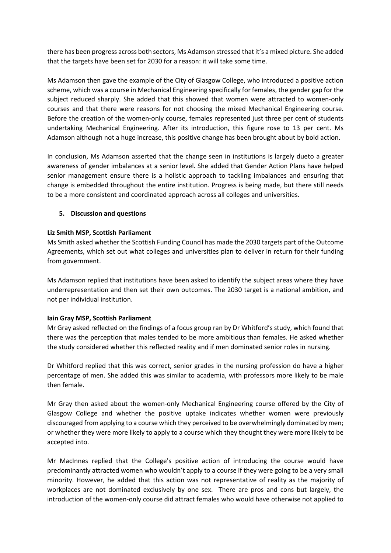there has been progress across both sectors, Ms Adamson stressed that it's a mixed picture. She added that the targets have been set for 2030 for a reason: it will take some time.

Ms Adamson then gave the example of the City of Glasgow College, who introduced a positive action scheme, which was a course in Mechanical Engineering specifically for females, the gender gap for the subject reduced sharply. She added that this showed that women were attracted to women-only courses and that there were reasons for not choosing the mixed Mechanical Engineering course. Before the creation of the women-only course, females represented just three per cent of students undertaking Mechanical Engineering. After its introduction, this figure rose to 13 per cent. Ms Adamson although not a huge increase, this positive change has been brought about by bold action.

In conclusion, Ms Adamson asserted that the change seen in institutions is largely dueto a greater awareness of gender imbalances at a senior level. She added that Gender Action Plans have helped senior management ensure there is a holistic approach to tackling imbalances and ensuring that change is embedded throughout the entire institution. Progress is being made, but there still needs to be a more consistent and coordinated approach across all colleges and universities.

### **5. Discussion and questions**

### **Liz Smith MSP, Scottish Parliament**

Ms Smith asked whether the Scottish Funding Council has made the 2030 targets part of the Outcome Agreements, which set out what colleges and universities plan to deliver in return for their funding from government.

Ms Adamson replied that institutions have been asked to identify the subject areas where they have underrepresentation and then set their own outcomes. The 2030 target is a national ambition, and not per individual institution.

#### **Iain Gray MSP, Scottish Parliament**

Mr Gray asked reflected on the findings of a focus group ran by Dr Whitford's study, which found that there was the perception that males tended to be more ambitious than females. He asked whether the study considered whether this reflected reality and if men dominated senior roles in nursing.

Dr Whitford replied that this was correct, senior grades in the nursing profession do have a higher percentage of men. She added this was similar to academia, with professors more likely to be male then female.

Mr Gray then asked about the women-only Mechanical Engineering course offered by the City of Glasgow College and whether the positive uptake indicates whether women were previously discouraged from applying to a course which they perceived to be overwhelmingly dominated by men; or whether they were more likely to apply to a course which they thought they were more likely to be accepted into.

Mr MacInnes replied that the College's positive action of introducing the course would have predominantly attracted women who wouldn't apply to a course if they were going to be a very small minority. However, he added that this action was not representative of reality as the majority of workplaces are not dominated exclusively by one sex. There are pros and cons but largely, the introduction of the women-only course did attract females who would have otherwise not applied to